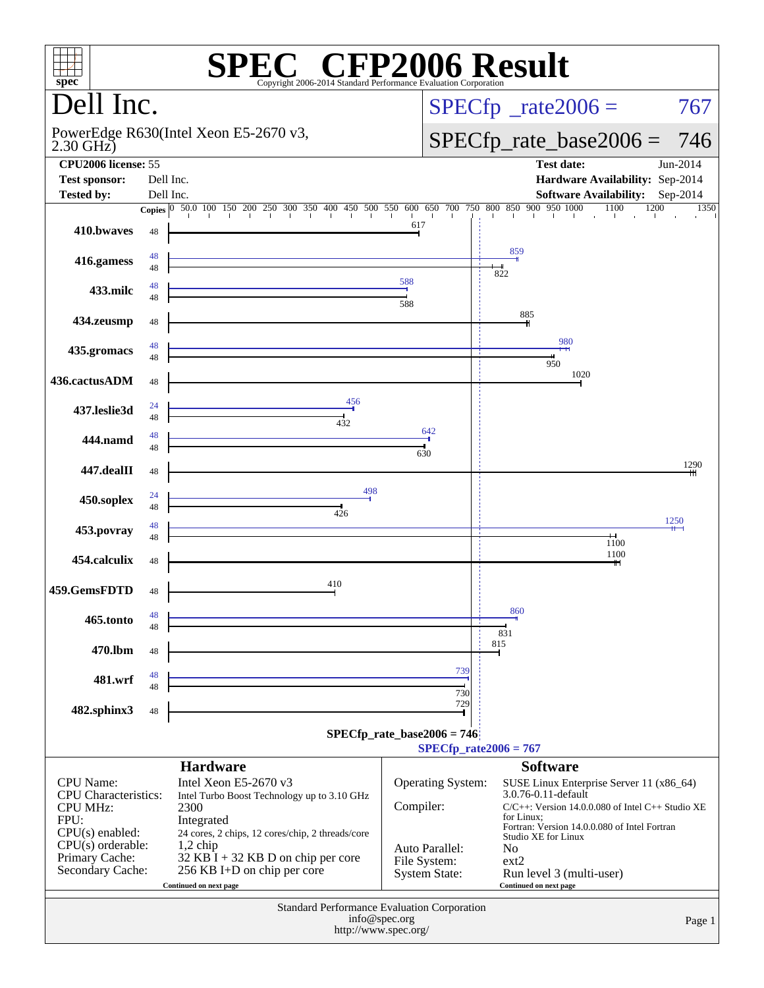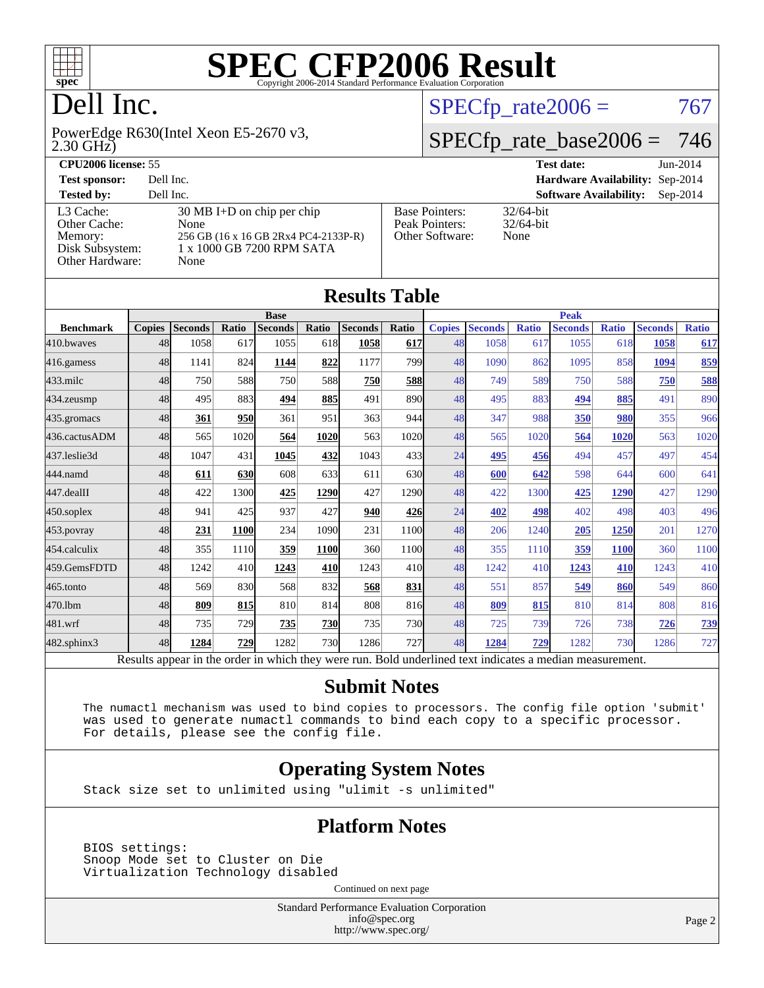

## Dell Inc.

2.30 GHz) PowerEdge R630(Intel Xeon E5-2670 v3,

 $SPECTp_rate2006 = 767$ 

#### [SPECfp\\_rate\\_base2006 =](http://www.spec.org/auto/cpu2006/Docs/result-fields.html#SPECfpratebase2006) 746

| <b>CPU2006 license: 55</b>                                                 |                                                                                                                           |                                                            | <b>Test date:</b><br>$Jun-2014$      |            |  |  |
|----------------------------------------------------------------------------|---------------------------------------------------------------------------------------------------------------------------|------------------------------------------------------------|--------------------------------------|------------|--|--|
| <b>Test sponsor:</b>                                                       | Dell Inc.                                                                                                                 |                                                            | Hardware Availability: Sep-2014      |            |  |  |
| <b>Tested by:</b>                                                          | Dell Inc.                                                                                                                 |                                                            | <b>Software Availability:</b>        | $Sep-2014$ |  |  |
| L3 Cache:<br>Other Cache:<br>Memory:<br>Disk Subsystem:<br>Other Hardware: | $30 \text{ MB I+D}$ on chip per chip<br>None<br>256 GB (16 x 16 GB 2Rx4 PC4-2133P-R)<br>1 x 1000 GB 7200 RPM SATA<br>None | <b>Base Pointers:</b><br>Peak Pointers:<br>Other Software: | $32/64$ -bit<br>$32/64$ -bit<br>None |            |  |  |

**[Results Table](http://www.spec.org/auto/cpu2006/Docs/result-fields.html#ResultsTable)**

| Results Tadie                                                                                            |               |                |             |                |            |                |             |               |                |              |                |              |                |              |
|----------------------------------------------------------------------------------------------------------|---------------|----------------|-------------|----------------|------------|----------------|-------------|---------------|----------------|--------------|----------------|--------------|----------------|--------------|
|                                                                                                          | <b>Base</b>   |                |             |                |            |                | <b>Peak</b> |               |                |              |                |              |                |              |
| <b>Benchmark</b>                                                                                         | <b>Copies</b> | <b>Seconds</b> | Ratio       | <b>Seconds</b> | Ratio      | <b>Seconds</b> | Ratio       | <b>Copies</b> | <b>Seconds</b> | <b>Ratio</b> | <b>Seconds</b> | <b>Ratio</b> | <b>Seconds</b> | <b>Ratio</b> |
| 410.bwayes                                                                                               | 48            | 1058           | 617         | 1055           | 618        | 1058           | 617         | 48            | 1058           | 617          | 1055           | 618          | 1058           | 617          |
| 416.gamess                                                                                               | 48            | 1141           | 824         | 1144           | 822        | 1177           | 799         | 48            | 1090           | 862          | 1095           | 858          | 1094           | 859          |
| $433$ .milc                                                                                              | 48            | 750            | 588         | 750            | 588        | 750            | 588         | 48            | 749            | 589          | 750            | 588          | 750            | 588          |
| 434.zeusmp                                                                                               | 48            | 495            | 883         | 494            | 885        | 491            | 890         | 48            | 495            | 883          | 494            | 885          | 491            | 890          |
| 435.gromacs                                                                                              | 48            | 361            | 950         | 361            | 951        | 363            | 944         | 48            | 347            | 988          | 350            | 980          | 355            | 966          |
| 436.cactusADM                                                                                            | 48            | 565            | 1020        | 564            | 1020       | 563            | 1020        | 48            | 565            | 1020         | 564            | 1020         | 563            | 1020         |
| 437.leslie3d                                                                                             | 48            | 1047           | 431         | 1045           | 432        | 1043           | 433         | 24            | 495            | 456          | 494            | 457          | 497            | 454          |
| 444.namd                                                                                                 | 48            | 611            | 630         | 608            | 633        | 611            | 630         | 48            | 600            | 642          | 598            | 644          | 600            | 641          |
| 447.dealII                                                                                               | 48            | 422            | 1300        | 425            | 1290       | 427            | 1290        | 48            | 422            | 1300         | 425            | 1290         | 427            | 1290         |
| $450$ .soplex                                                                                            | 48            | 941            | 425         | 937            | 427        | 940            | 426         | 24            | 402            | 498          | 402            | 498          | 403            | 496          |
| $453$ .povray                                                                                            | 48            | 231            | <b>1100</b> | 234            | 1090       | 231            | 1100        | 48            | 206            | 1240         | 205            | 1250         | 201            | 1270         |
| 454.calculix                                                                                             | 48            | 355            | 1110        | 359            | 1100       | 360            | 1100        | 48            | 355            | 1110         | 359            | <b>1100</b>  | 360            | 1100         |
| 459.GemsFDTD                                                                                             | 48            | 1242           | 410         | 1243           | 410        | 1243           | 410         | 48            | 1242           | 410          | 1243           | 410          | 1243           | 410          |
| 465.tonto                                                                                                | 48            | 569            | 830         | 568            | 832        | 568            | 831         | 48            | 551            | 857          | 549            | 860          | 549            | 860          |
| 470.1bm                                                                                                  | 48            | 809            | 815         | 810            | 814        | 808            | 816         | 48            | 809            | 815          | 810            | 814          | 808            | 816          |
| 481.wrf                                                                                                  | 48            | 735            | 729         | 735            | 730        | 735            | 730         | 48            | 725            | 739          | 726            | 738          | 726            | <b>739</b>   |
| 482.sphinx3                                                                                              | 48            | 1284           | 729         | 1282           | <b>730</b> | 1286           | 727         | 48            | 1284           | 729          | 1282           | 730          | 1286           | 727          |
| Results appear in the order in which they were run. Bold underlined text indicates a median measurement. |               |                |             |                |            |                |             |               |                |              |                |              |                |              |

#### **[Submit Notes](http://www.spec.org/auto/cpu2006/Docs/result-fields.html#SubmitNotes)**

 The numactl mechanism was used to bind copies to processors. The config file option 'submit' was used to generate numactl commands to bind each copy to a specific processor. For details, please see the config file.

#### **[Operating System Notes](http://www.spec.org/auto/cpu2006/Docs/result-fields.html#OperatingSystemNotes)**

Stack size set to unlimited using "ulimit -s unlimited"

#### **[Platform Notes](http://www.spec.org/auto/cpu2006/Docs/result-fields.html#PlatformNotes)**

 BIOS settings: Snoop Mode set to Cluster on Die Virtualization Technology disabled

Continued on next page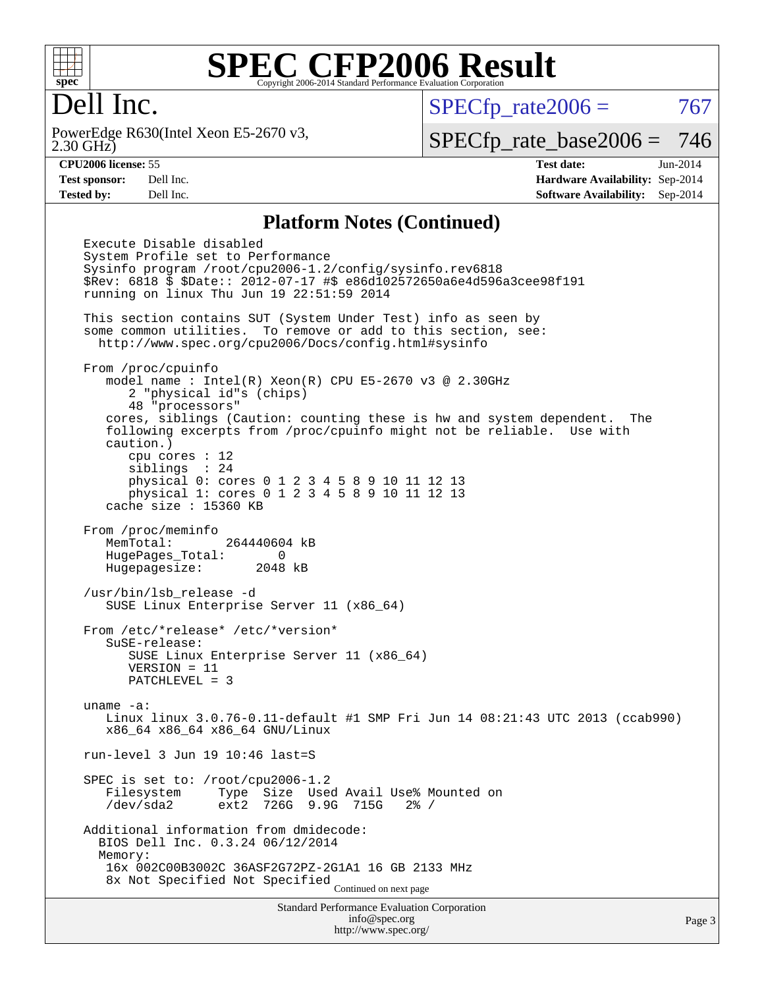

#### Dell Inc.

2.30 GHz) PowerEdge R630(Intel Xeon E5-2670 v3,  $SPECTp_rate2006 = 767$ 

[SPECfp\\_rate\\_base2006 =](http://www.spec.org/auto/cpu2006/Docs/result-fields.html#SPECfpratebase2006) 746

**[CPU2006 license:](http://www.spec.org/auto/cpu2006/Docs/result-fields.html#CPU2006license)** 55 **[Test date:](http://www.spec.org/auto/cpu2006/Docs/result-fields.html#Testdate)** Jun-2014 **[Test sponsor:](http://www.spec.org/auto/cpu2006/Docs/result-fields.html#Testsponsor)** Dell Inc. **[Hardware Availability:](http://www.spec.org/auto/cpu2006/Docs/result-fields.html#HardwareAvailability)** Sep-2014 **[Tested by:](http://www.spec.org/auto/cpu2006/Docs/result-fields.html#Testedby)** Dell Inc. **[Software Availability:](http://www.spec.org/auto/cpu2006/Docs/result-fields.html#SoftwareAvailability)** Sep-2014

#### **[Platform Notes \(Continued\)](http://www.spec.org/auto/cpu2006/Docs/result-fields.html#PlatformNotes)**

Standard Performance Evaluation Corporation [info@spec.org](mailto:info@spec.org) Execute Disable disabled System Profile set to Performance Sysinfo program /root/cpu2006-1.2/config/sysinfo.rev6818 \$Rev: 6818 \$ \$Date:: 2012-07-17 #\$ e86d102572650a6e4d596a3cee98f191 running on linux Thu Jun 19 22:51:59 2014 This section contains SUT (System Under Test) info as seen by some common utilities. To remove or add to this section, see: <http://www.spec.org/cpu2006/Docs/config.html#sysinfo> From /proc/cpuinfo model name : Intel(R) Xeon(R) CPU E5-2670 v3 @ 2.30GHz 2 "physical id"s (chips) 48 "processors" cores, siblings (Caution: counting these is hw and system dependent. The following excerpts from /proc/cpuinfo might not be reliable. Use with caution.) cpu cores : 12 siblings : 24 physical 0: cores 0 1 2 3 4 5 8 9 10 11 12 13 physical 1: cores 0 1 2 3 4 5 8 9 10 11 12 13 cache size : 15360 KB From /proc/meminfo MemTotal: 264440604 kB HugePages\_Total: 0 Hugepagesize: 2048 kB /usr/bin/lsb\_release -d SUSE Linux Enterprise Server 11 (x86\_64) From /etc/\*release\* /etc/\*version\* SuSE-release: SUSE Linux Enterprise Server 11 (x86\_64) VERSION = 11 PATCHLEVEL = 3 uname -a: Linux linux 3.0.76-0.11-default #1 SMP Fri Jun 14 08:21:43 UTC 2013 (ccab990) x86\_64 x86\_64 x86\_64 GNU/Linux run-level 3 Jun 19 10:46 last=S SPEC is set to: /root/cpu2006-1.2 Filesystem Type Size Used Avail Use% Mounted on /dev/sda2 ext2 726G 9.9G 715G 2% / Additional information from dmidecode: BIOS Dell Inc. 0.3.24 06/12/2014 Memory: 16x 002C00B3002C 36ASF2G72PZ-2G1A1 16 GB 2133 MHz 8x Not Specified Not Specified Continued on next page

<http://www.spec.org/>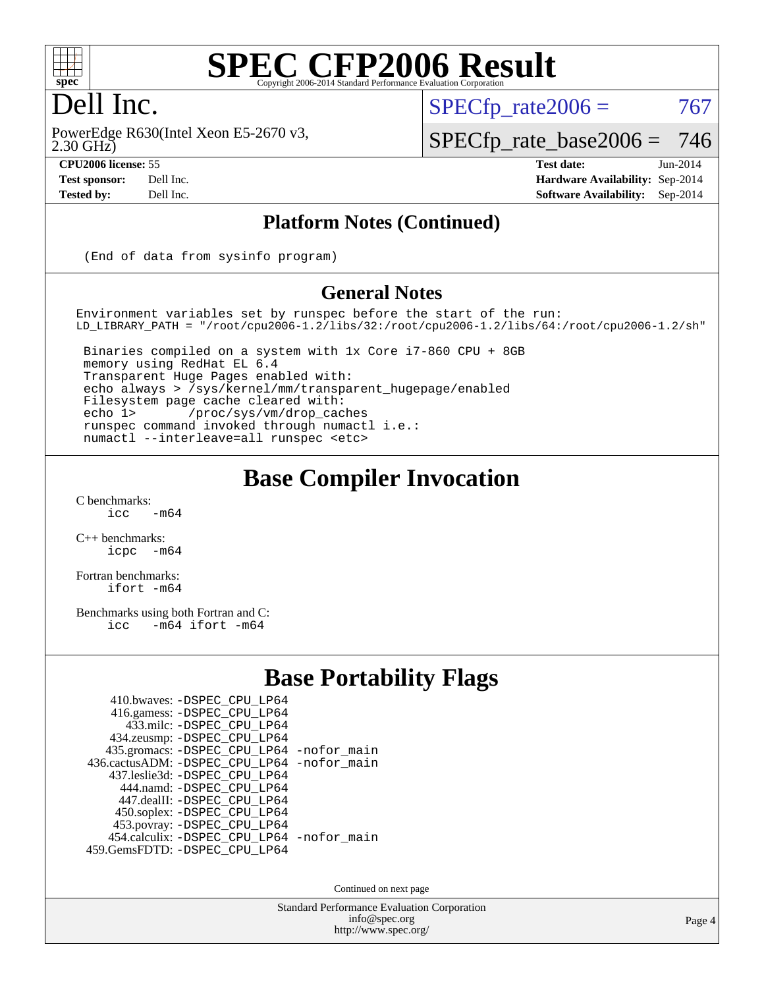

### Dell Inc.

2.30 GHz) PowerEdge R630(Intel Xeon E5-2670 v3,

 $SPECTp\_rate2006 = 767$ 

[SPECfp\\_rate\\_base2006 =](http://www.spec.org/auto/cpu2006/Docs/result-fields.html#SPECfpratebase2006) 746

**[CPU2006 license:](http://www.spec.org/auto/cpu2006/Docs/result-fields.html#CPU2006license)** 55 **[Test date:](http://www.spec.org/auto/cpu2006/Docs/result-fields.html#Testdate)** Jun-2014 **[Test sponsor:](http://www.spec.org/auto/cpu2006/Docs/result-fields.html#Testsponsor)** Dell Inc. **[Hardware Availability:](http://www.spec.org/auto/cpu2006/Docs/result-fields.html#HardwareAvailability)** Sep-2014 **[Tested by:](http://www.spec.org/auto/cpu2006/Docs/result-fields.html#Testedby)** Dell Inc. **[Software Availability:](http://www.spec.org/auto/cpu2006/Docs/result-fields.html#SoftwareAvailability)** Sep-2014

#### **[Platform Notes \(Continued\)](http://www.spec.org/auto/cpu2006/Docs/result-fields.html#PlatformNotes)**

(End of data from sysinfo program)

#### **[General Notes](http://www.spec.org/auto/cpu2006/Docs/result-fields.html#GeneralNotes)**

Environment variables set by runspec before the start of the run: LD\_LIBRARY\_PATH = "/root/cpu2006-1.2/libs/32:/root/cpu2006-1.2/libs/64:/root/cpu2006-1.2/sh"

 Binaries compiled on a system with 1x Core i7-860 CPU + 8GB memory using RedHat EL 6.4 Transparent Huge Pages enabled with: echo always > /sys/kernel/mm/transparent\_hugepage/enabled Filesystem page cache cleared with: echo 1> /proc/sys/vm/drop\_caches runspec command invoked through numactl i.e.: numactl --interleave=all runspec <etc>

#### **[Base Compiler Invocation](http://www.spec.org/auto/cpu2006/Docs/result-fields.html#BaseCompilerInvocation)**

 $C$  benchmarks:<br>icc  $-m64$ 

[C++ benchmarks:](http://www.spec.org/auto/cpu2006/Docs/result-fields.html#CXXbenchmarks) [icpc -m64](http://www.spec.org/cpu2006/results/res2014q3/cpu2006-20140909-31311.flags.html#user_CXXbase_intel_icpc_64bit_bedb90c1146cab66620883ef4f41a67e)

[Fortran benchmarks](http://www.spec.org/auto/cpu2006/Docs/result-fields.html#Fortranbenchmarks): [ifort -m64](http://www.spec.org/cpu2006/results/res2014q3/cpu2006-20140909-31311.flags.html#user_FCbase_intel_ifort_64bit_ee9d0fb25645d0210d97eb0527dcc06e)

[Benchmarks using both Fortran and C](http://www.spec.org/auto/cpu2006/Docs/result-fields.html#BenchmarksusingbothFortranandC): [icc -m64](http://www.spec.org/cpu2006/results/res2014q3/cpu2006-20140909-31311.flags.html#user_CC_FCbase_intel_icc_64bit_0b7121f5ab7cfabee23d88897260401c) [ifort -m64](http://www.spec.org/cpu2006/results/res2014q3/cpu2006-20140909-31311.flags.html#user_CC_FCbase_intel_ifort_64bit_ee9d0fb25645d0210d97eb0527dcc06e)

#### **[Base Portability Flags](http://www.spec.org/auto/cpu2006/Docs/result-fields.html#BasePortabilityFlags)**

| 410.bwaves: - DSPEC_CPU_LP64               |  |
|--------------------------------------------|--|
| 416.gamess: - DSPEC_CPU_LP64               |  |
| 433.milc: -DSPEC CPU LP64                  |  |
| 434.zeusmp: -DSPEC_CPU_LP64                |  |
| 435.gromacs: -DSPEC_CPU_LP64 -nofor_main   |  |
| 436.cactusADM: -DSPEC CPU LP64 -nofor main |  |
| 437.leslie3d: -DSPEC CPU LP64              |  |
| 444.namd: - DSPEC CPU LP64                 |  |
| 447.dealII: -DSPEC_CPU LP64                |  |
| 450.soplex: -DSPEC_CPU_LP64                |  |
| 453.povray: -DSPEC_CPU_LP64                |  |
| 454.calculix: - DSPEC_CPU_LP64 -nofor_main |  |
| 459.GemsFDTD: - DSPEC_CPU_LP64             |  |
|                                            |  |

Continued on next page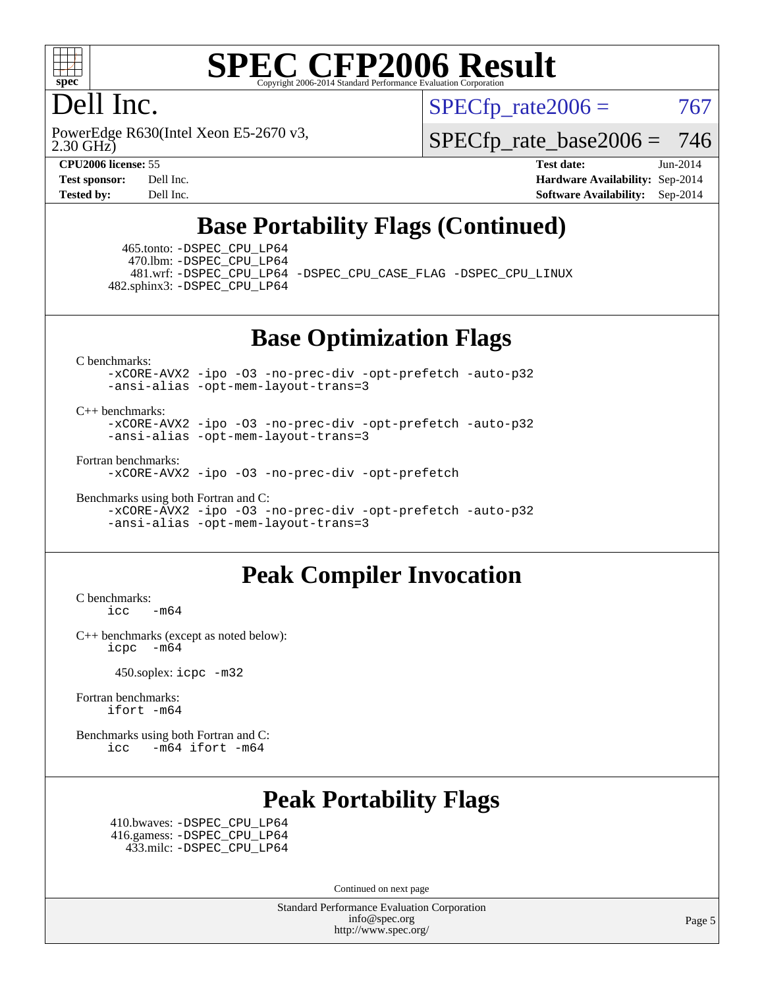

#### Dell Inc.

2.30 GHz) PowerEdge R630(Intel Xeon E5-2670 v3,  $SPECTp\_rate2006 = 767$ 

[SPECfp\\_rate\\_base2006 =](http://www.spec.org/auto/cpu2006/Docs/result-fields.html#SPECfpratebase2006) 746

**[CPU2006 license:](http://www.spec.org/auto/cpu2006/Docs/result-fields.html#CPU2006license)** 55 **[Test date:](http://www.spec.org/auto/cpu2006/Docs/result-fields.html#Testdate)** Jun-2014 **[Test sponsor:](http://www.spec.org/auto/cpu2006/Docs/result-fields.html#Testsponsor)** Dell Inc. **[Hardware Availability:](http://www.spec.org/auto/cpu2006/Docs/result-fields.html#HardwareAvailability)** Sep-2014 **[Tested by:](http://www.spec.org/auto/cpu2006/Docs/result-fields.html#Testedby)** Dell Inc. **[Software Availability:](http://www.spec.org/auto/cpu2006/Docs/result-fields.html#SoftwareAvailability)** Sep-2014

#### **[Base Portability Flags \(Continued\)](http://www.spec.org/auto/cpu2006/Docs/result-fields.html#BasePortabilityFlags)**

 465.tonto: [-DSPEC\\_CPU\\_LP64](http://www.spec.org/cpu2006/results/res2014q3/cpu2006-20140909-31311.flags.html#suite_basePORTABILITY465_tonto_DSPEC_CPU_LP64) 470.lbm: [-DSPEC\\_CPU\\_LP64](http://www.spec.org/cpu2006/results/res2014q3/cpu2006-20140909-31311.flags.html#suite_basePORTABILITY470_lbm_DSPEC_CPU_LP64)

 481.wrf: [-DSPEC\\_CPU\\_LP64](http://www.spec.org/cpu2006/results/res2014q3/cpu2006-20140909-31311.flags.html#suite_basePORTABILITY481_wrf_DSPEC_CPU_LP64) [-DSPEC\\_CPU\\_CASE\\_FLAG](http://www.spec.org/cpu2006/results/res2014q3/cpu2006-20140909-31311.flags.html#b481.wrf_baseCPORTABILITY_DSPEC_CPU_CASE_FLAG) [-DSPEC\\_CPU\\_LINUX](http://www.spec.org/cpu2006/results/res2014q3/cpu2006-20140909-31311.flags.html#b481.wrf_baseCPORTABILITY_DSPEC_CPU_LINUX) 482.sphinx3: [-DSPEC\\_CPU\\_LP64](http://www.spec.org/cpu2006/results/res2014q3/cpu2006-20140909-31311.flags.html#suite_basePORTABILITY482_sphinx3_DSPEC_CPU_LP64)

**[Base Optimization Flags](http://www.spec.org/auto/cpu2006/Docs/result-fields.html#BaseOptimizationFlags)**

[C benchmarks](http://www.spec.org/auto/cpu2006/Docs/result-fields.html#Cbenchmarks):

[-xCORE-AVX2](http://www.spec.org/cpu2006/results/res2014q3/cpu2006-20140909-31311.flags.html#user_CCbase_f-xAVX2_5f5fc0cbe2c9f62c816d3e45806c70d7) [-ipo](http://www.spec.org/cpu2006/results/res2014q3/cpu2006-20140909-31311.flags.html#user_CCbase_f-ipo) [-O3](http://www.spec.org/cpu2006/results/res2014q3/cpu2006-20140909-31311.flags.html#user_CCbase_f-O3) [-no-prec-div](http://www.spec.org/cpu2006/results/res2014q3/cpu2006-20140909-31311.flags.html#user_CCbase_f-no-prec-div) [-opt-prefetch](http://www.spec.org/cpu2006/results/res2014q3/cpu2006-20140909-31311.flags.html#user_CCbase_f-opt-prefetch) [-auto-p32](http://www.spec.org/cpu2006/results/res2014q3/cpu2006-20140909-31311.flags.html#user_CCbase_f-auto-p32) [-ansi-alias](http://www.spec.org/cpu2006/results/res2014q3/cpu2006-20140909-31311.flags.html#user_CCbase_f-ansi-alias) [-opt-mem-layout-trans=3](http://www.spec.org/cpu2006/results/res2014q3/cpu2006-20140909-31311.flags.html#user_CCbase_f-opt-mem-layout-trans_a7b82ad4bd7abf52556d4961a2ae94d5)

#### [C++ benchmarks:](http://www.spec.org/auto/cpu2006/Docs/result-fields.html#CXXbenchmarks)

[-xCORE-AVX2](http://www.spec.org/cpu2006/results/res2014q3/cpu2006-20140909-31311.flags.html#user_CXXbase_f-xAVX2_5f5fc0cbe2c9f62c816d3e45806c70d7) [-ipo](http://www.spec.org/cpu2006/results/res2014q3/cpu2006-20140909-31311.flags.html#user_CXXbase_f-ipo) [-O3](http://www.spec.org/cpu2006/results/res2014q3/cpu2006-20140909-31311.flags.html#user_CXXbase_f-O3) [-no-prec-div](http://www.spec.org/cpu2006/results/res2014q3/cpu2006-20140909-31311.flags.html#user_CXXbase_f-no-prec-div) [-opt-prefetch](http://www.spec.org/cpu2006/results/res2014q3/cpu2006-20140909-31311.flags.html#user_CXXbase_f-opt-prefetch) [-auto-p32](http://www.spec.org/cpu2006/results/res2014q3/cpu2006-20140909-31311.flags.html#user_CXXbase_f-auto-p32) [-ansi-alias](http://www.spec.org/cpu2006/results/res2014q3/cpu2006-20140909-31311.flags.html#user_CXXbase_f-ansi-alias) [-opt-mem-layout-trans=3](http://www.spec.org/cpu2006/results/res2014q3/cpu2006-20140909-31311.flags.html#user_CXXbase_f-opt-mem-layout-trans_a7b82ad4bd7abf52556d4961a2ae94d5)

[Fortran benchmarks](http://www.spec.org/auto/cpu2006/Docs/result-fields.html#Fortranbenchmarks):

[-xCORE-AVX2](http://www.spec.org/cpu2006/results/res2014q3/cpu2006-20140909-31311.flags.html#user_FCbase_f-xAVX2_5f5fc0cbe2c9f62c816d3e45806c70d7) [-ipo](http://www.spec.org/cpu2006/results/res2014q3/cpu2006-20140909-31311.flags.html#user_FCbase_f-ipo) [-O3](http://www.spec.org/cpu2006/results/res2014q3/cpu2006-20140909-31311.flags.html#user_FCbase_f-O3) [-no-prec-div](http://www.spec.org/cpu2006/results/res2014q3/cpu2006-20140909-31311.flags.html#user_FCbase_f-no-prec-div) [-opt-prefetch](http://www.spec.org/cpu2006/results/res2014q3/cpu2006-20140909-31311.flags.html#user_FCbase_f-opt-prefetch)

[Benchmarks using both Fortran and C](http://www.spec.org/auto/cpu2006/Docs/result-fields.html#BenchmarksusingbothFortranandC):

[-xCORE-AVX2](http://www.spec.org/cpu2006/results/res2014q3/cpu2006-20140909-31311.flags.html#user_CC_FCbase_f-xAVX2_5f5fc0cbe2c9f62c816d3e45806c70d7) [-ipo](http://www.spec.org/cpu2006/results/res2014q3/cpu2006-20140909-31311.flags.html#user_CC_FCbase_f-ipo) [-O3](http://www.spec.org/cpu2006/results/res2014q3/cpu2006-20140909-31311.flags.html#user_CC_FCbase_f-O3) [-no-prec-div](http://www.spec.org/cpu2006/results/res2014q3/cpu2006-20140909-31311.flags.html#user_CC_FCbase_f-no-prec-div) [-opt-prefetch](http://www.spec.org/cpu2006/results/res2014q3/cpu2006-20140909-31311.flags.html#user_CC_FCbase_f-opt-prefetch) [-auto-p32](http://www.spec.org/cpu2006/results/res2014q3/cpu2006-20140909-31311.flags.html#user_CC_FCbase_f-auto-p32) [-ansi-alias](http://www.spec.org/cpu2006/results/res2014q3/cpu2006-20140909-31311.flags.html#user_CC_FCbase_f-ansi-alias) [-opt-mem-layout-trans=3](http://www.spec.org/cpu2006/results/res2014q3/cpu2006-20140909-31311.flags.html#user_CC_FCbase_f-opt-mem-layout-trans_a7b82ad4bd7abf52556d4961a2ae94d5)

#### **[Peak Compiler Invocation](http://www.spec.org/auto/cpu2006/Docs/result-fields.html#PeakCompilerInvocation)**

[C benchmarks](http://www.spec.org/auto/cpu2006/Docs/result-fields.html#Cbenchmarks):  $\text{icc}$   $-\text{m64}$ 

[C++ benchmarks \(except as noted below\):](http://www.spec.org/auto/cpu2006/Docs/result-fields.html#CXXbenchmarksexceptasnotedbelow) [icpc -m64](http://www.spec.org/cpu2006/results/res2014q3/cpu2006-20140909-31311.flags.html#user_CXXpeak_intel_icpc_64bit_bedb90c1146cab66620883ef4f41a67e)

450.soplex: [icpc -m32](http://www.spec.org/cpu2006/results/res2014q3/cpu2006-20140909-31311.flags.html#user_peakCXXLD450_soplex_intel_icpc_4e5a5ef1a53fd332b3c49e69c3330699)

[Fortran benchmarks](http://www.spec.org/auto/cpu2006/Docs/result-fields.html#Fortranbenchmarks): [ifort -m64](http://www.spec.org/cpu2006/results/res2014q3/cpu2006-20140909-31311.flags.html#user_FCpeak_intel_ifort_64bit_ee9d0fb25645d0210d97eb0527dcc06e)

[Benchmarks using both Fortran and C](http://www.spec.org/auto/cpu2006/Docs/result-fields.html#BenchmarksusingbothFortranandC): [icc -m64](http://www.spec.org/cpu2006/results/res2014q3/cpu2006-20140909-31311.flags.html#user_CC_FCpeak_intel_icc_64bit_0b7121f5ab7cfabee23d88897260401c) [ifort -m64](http://www.spec.org/cpu2006/results/res2014q3/cpu2006-20140909-31311.flags.html#user_CC_FCpeak_intel_ifort_64bit_ee9d0fb25645d0210d97eb0527dcc06e)

### **[Peak Portability Flags](http://www.spec.org/auto/cpu2006/Docs/result-fields.html#PeakPortabilityFlags)**

 410.bwaves: [-DSPEC\\_CPU\\_LP64](http://www.spec.org/cpu2006/results/res2014q3/cpu2006-20140909-31311.flags.html#suite_peakPORTABILITY410_bwaves_DSPEC_CPU_LP64) 416.gamess: [-DSPEC\\_CPU\\_LP64](http://www.spec.org/cpu2006/results/res2014q3/cpu2006-20140909-31311.flags.html#suite_peakPORTABILITY416_gamess_DSPEC_CPU_LP64) 433.milc: [-DSPEC\\_CPU\\_LP64](http://www.spec.org/cpu2006/results/res2014q3/cpu2006-20140909-31311.flags.html#suite_peakPORTABILITY433_milc_DSPEC_CPU_LP64)

Continued on next page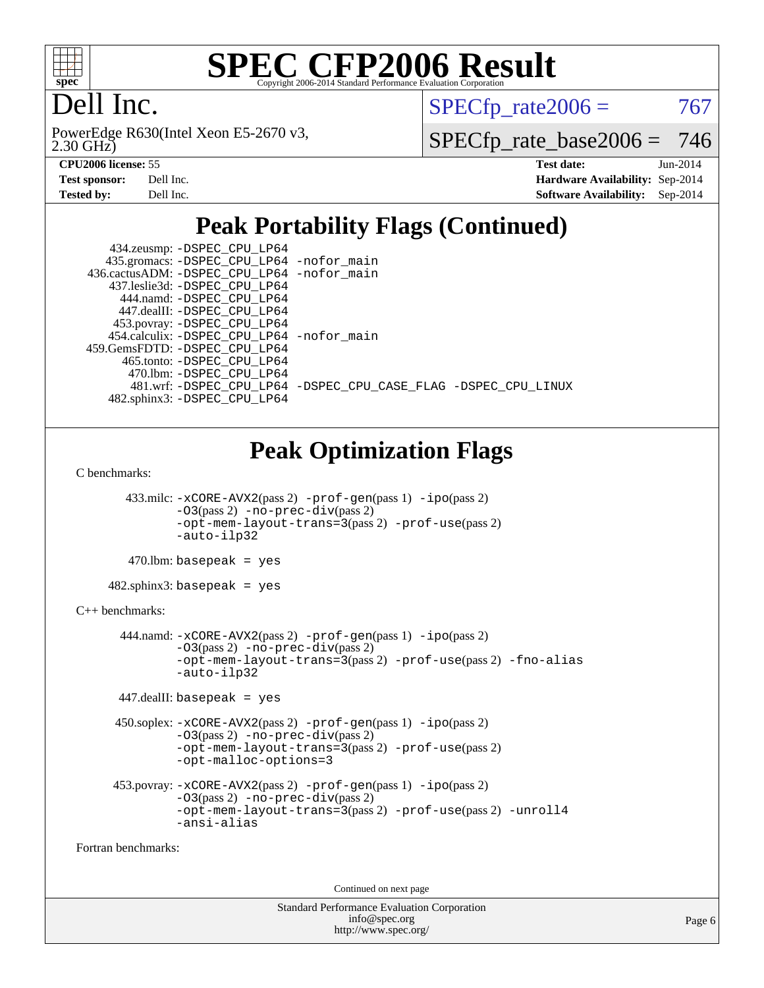

### Dell Inc.

2.30 GHz) PowerEdge R630(Intel Xeon E5-2670 v3,  $SPECTp\_rate2006 = 767$ 

[SPECfp\\_rate\\_base2006 =](http://www.spec.org/auto/cpu2006/Docs/result-fields.html#SPECfpratebase2006) 746

| <b>Test sponsor:</b> | Dell Inc. |
|----------------------|-----------|
| Tested by:           | Dell Inc. |

**[CPU2006 license:](http://www.spec.org/auto/cpu2006/Docs/result-fields.html#CPU2006license)** 55 **[Test date:](http://www.spec.org/auto/cpu2006/Docs/result-fields.html#Testdate)** Jun-2014 **[Hardware Availability:](http://www.spec.org/auto/cpu2006/Docs/result-fields.html#HardwareAvailability)** Sep-2014 **[Software Availability:](http://www.spec.org/auto/cpu2006/Docs/result-fields.html#SoftwareAvailability)** Sep-2014

### **[Peak Portability Flags \(Continued\)](http://www.spec.org/auto/cpu2006/Docs/result-fields.html#PeakPortabilityFlags)**

| 434.zeusmp: - DSPEC_CPU_LP64                |                                                                |
|---------------------------------------------|----------------------------------------------------------------|
| 435.gromacs: -DSPEC_CPU_LP64 -nofor_main    |                                                                |
| 436.cactusADM: -DSPEC_CPU_LP64 -nofor main  |                                                                |
| 437.leslie3d: -DSPEC CPU LP64               |                                                                |
| 444.namd: -DSPEC CPU LP64                   |                                                                |
| 447.dealII: -DSPEC CPU LP64                 |                                                                |
| 453.povray: -DSPEC_CPU_LP64                 |                                                                |
| 454.calculix: - DSPEC CPU LP64 - nofor main |                                                                |
| 459.GemsFDTD: -DSPEC CPU LP64               |                                                                |
| 465.tonto: -DSPEC CPU LP64                  |                                                                |
| 470.1bm: - DSPEC CPU LP64                   |                                                                |
|                                             | 481.wrf: -DSPEC CPU_LP64 -DSPEC_CPU_CASE_FLAG -DSPEC_CPU_LINUX |
| 482.sphinx3: -DSPEC CPU LP64                |                                                                |

## **[Peak Optimization Flags](http://www.spec.org/auto/cpu2006/Docs/result-fields.html#PeakOptimizationFlags)**

[C benchmarks](http://www.spec.org/auto/cpu2006/Docs/result-fields.html#Cbenchmarks):

 433.milc: [-xCORE-AVX2](http://www.spec.org/cpu2006/results/res2014q3/cpu2006-20140909-31311.flags.html#user_peakPASS2_CFLAGSPASS2_LDFLAGS433_milc_f-xAVX2_5f5fc0cbe2c9f62c816d3e45806c70d7)(pass 2) [-prof-gen](http://www.spec.org/cpu2006/results/res2014q3/cpu2006-20140909-31311.flags.html#user_peakPASS1_CFLAGSPASS1_LDFLAGS433_milc_prof_gen_e43856698f6ca7b7e442dfd80e94a8fc)(pass 1) [-ipo](http://www.spec.org/cpu2006/results/res2014q3/cpu2006-20140909-31311.flags.html#user_peakPASS2_CFLAGSPASS2_LDFLAGS433_milc_f-ipo)(pass 2) [-O3](http://www.spec.org/cpu2006/results/res2014q3/cpu2006-20140909-31311.flags.html#user_peakPASS2_CFLAGSPASS2_LDFLAGS433_milc_f-O3)(pass 2) [-no-prec-div](http://www.spec.org/cpu2006/results/res2014q3/cpu2006-20140909-31311.flags.html#user_peakPASS2_CFLAGSPASS2_LDFLAGS433_milc_f-no-prec-div)(pass 2) [-opt-mem-layout-trans=3](http://www.spec.org/cpu2006/results/res2014q3/cpu2006-20140909-31311.flags.html#user_peakPASS2_CFLAGS433_milc_f-opt-mem-layout-trans_a7b82ad4bd7abf52556d4961a2ae94d5)(pass 2) [-prof-use](http://www.spec.org/cpu2006/results/res2014q3/cpu2006-20140909-31311.flags.html#user_peakPASS2_CFLAGSPASS2_LDFLAGS433_milc_prof_use_bccf7792157ff70d64e32fe3e1250b55)(pass 2) [-auto-ilp32](http://www.spec.org/cpu2006/results/res2014q3/cpu2006-20140909-31311.flags.html#user_peakCOPTIMIZE433_milc_f-auto-ilp32)

 $470$ .lbm: basepeak = yes

 $482$ .sphinx $3$ : basepeak = yes

#### [C++ benchmarks:](http://www.spec.org/auto/cpu2006/Docs/result-fields.html#CXXbenchmarks)

 444.namd: [-xCORE-AVX2](http://www.spec.org/cpu2006/results/res2014q3/cpu2006-20140909-31311.flags.html#user_peakPASS2_CXXFLAGSPASS2_LDFLAGS444_namd_f-xAVX2_5f5fc0cbe2c9f62c816d3e45806c70d7)(pass 2) [-prof-gen](http://www.spec.org/cpu2006/results/res2014q3/cpu2006-20140909-31311.flags.html#user_peakPASS1_CXXFLAGSPASS1_LDFLAGS444_namd_prof_gen_e43856698f6ca7b7e442dfd80e94a8fc)(pass 1) [-ipo](http://www.spec.org/cpu2006/results/res2014q3/cpu2006-20140909-31311.flags.html#user_peakPASS2_CXXFLAGSPASS2_LDFLAGS444_namd_f-ipo)(pass 2)  $-03$ (pass 2)  $-$ no-prec-div(pass 2) [-opt-mem-layout-trans=3](http://www.spec.org/cpu2006/results/res2014q3/cpu2006-20140909-31311.flags.html#user_peakPASS2_CXXFLAGS444_namd_f-opt-mem-layout-trans_a7b82ad4bd7abf52556d4961a2ae94d5)(pass 2) [-prof-use](http://www.spec.org/cpu2006/results/res2014q3/cpu2006-20140909-31311.flags.html#user_peakPASS2_CXXFLAGSPASS2_LDFLAGS444_namd_prof_use_bccf7792157ff70d64e32fe3e1250b55)(pass 2) [-fno-alias](http://www.spec.org/cpu2006/results/res2014q3/cpu2006-20140909-31311.flags.html#user_peakCXXOPTIMIZE444_namd_f-no-alias_694e77f6c5a51e658e82ccff53a9e63a) [-auto-ilp32](http://www.spec.org/cpu2006/results/res2014q3/cpu2006-20140909-31311.flags.html#user_peakCXXOPTIMIZE444_namd_f-auto-ilp32)

447.dealII: basepeak = yes

```
 450.soplex: -xCORE-AVX2(pass 2) -prof-gen(pass 1) -ipo(pass 2)
-O3(pass 2) -no-prec-div(pass 2)
-opt-mem-layout-trans=3(pass 2) -prof-use(pass 2)
-opt-malloc-options=3
```

```
 453.povray: -xCORE-AVX2(pass 2) -prof-gen(pass 1) -ipo(pass 2)
 -O3(pass 2) -no-prec-div(pass 2)
-opt-mem-layout-trans=3(pass 2) -prof-use(pass 2) -unroll4
 -ansi-alias
```
[Fortran benchmarks](http://www.spec.org/auto/cpu2006/Docs/result-fields.html#Fortranbenchmarks):

Continued on next page

```
Standard Performance Evaluation Corporation
    info@spec.org
  http://www.spec.org/
```